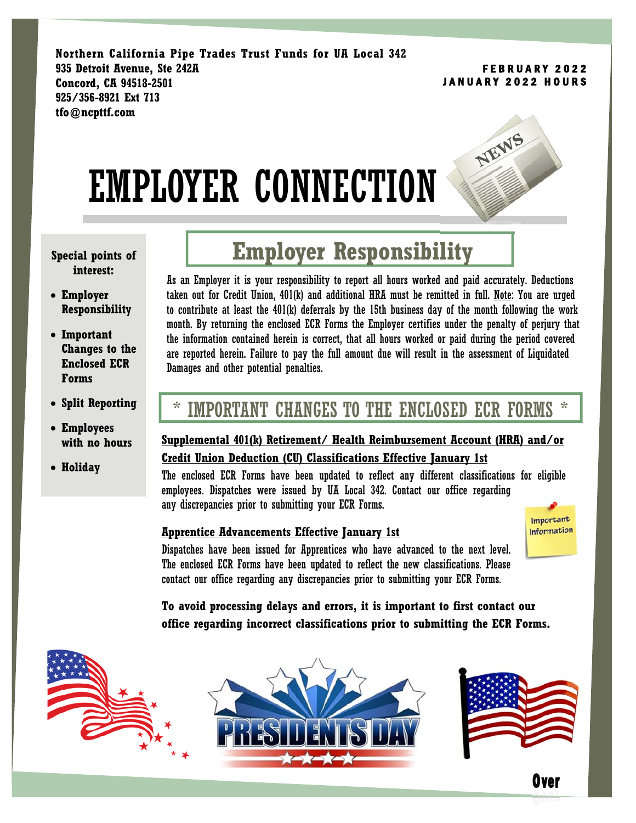**Northern California Pipe Trades Trust Funds for UA Local 342 935 Detroit Avenue, Ste 242A Concord, CA 94518-2501 925/356-8921 Ext 713 tfo@ncpttf.com** 

#### FEBRUARY 2022 JANUARY 2022 HOURS





#### **Special points of interest:**

- **Employer Responsibility**
- **Important Changes to the Enclosed ECR Forms**
- **Split Reporting**
- **Employees with no hours**
- **Holiday**

# **Employer Responsibility**

As an Employer it is your responsibility to report all hours worked and paid accurately. Deductions taken out for Credit Union, 401(k) and additional HRA must be remitted in full. Note: You are urged to contribute at least the 401(k) deferrals by the 15th business day of the month following the work month. By returning the enclosed ECR Forms the Employer certifies under the penalty of perjury that the information contained herein is correct, that all hours worked or paid during the period covered are reported herein. Failure to pay the full amount due will result in the assessment of Liquidated Damages and other potential penalties.

# \* IMPORTANT CHANGES TO THE ENCLOSED ECR FORMS \*

# **Supplemental 401(k) Retirement/ Health Reimbursement Account (HRA) and/or Credit Union Deduction (CU) Classifications Effective January 1st**

The enclosed ECR Forms have been updated to reflect any different classifications for eligible employees. Dispatches were issued by UA Local 342. Contact our office regarding any discrepancies prior to submitting your ECR Forms.

## **Apprentice Advancements Effective January 1st**



Over

Dispatches have been issued for Apprentices who have advanced to the next level. The enclosed ECR Forms have been updated to reflect the new classifications. Please contact our office regarding any discrepancies prior to submitting your ECR Forms.

**To avoid processing delays and errors, it is important to first contact our office regarding incorrect classifications prior to submitting the ECR Forms.**